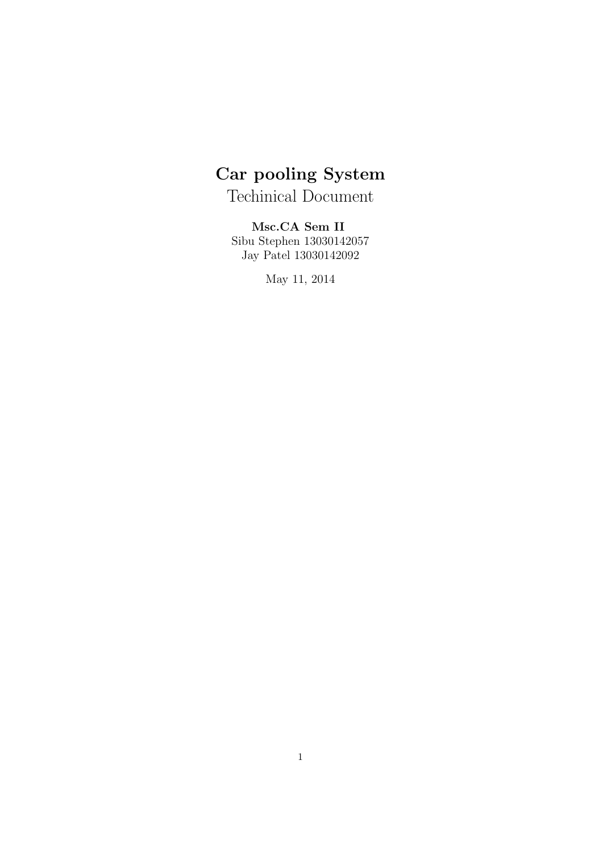# Car pooling System

Techinical Document

Msc.CA Sem II Sibu Stephen 13030142057 Jay Patel 13030142092

May 11, 2014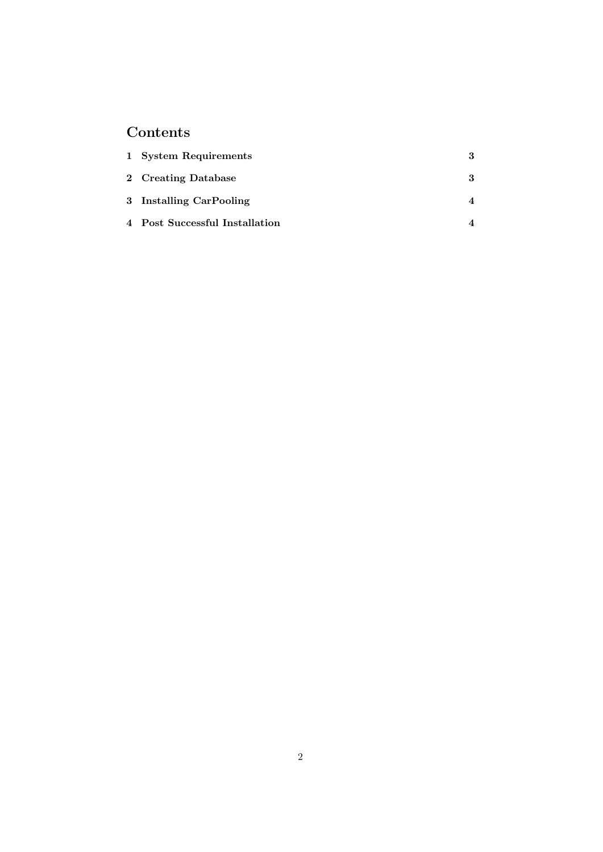## Contents

| 1 System Requirements          | 3 |
|--------------------------------|---|
| 2 Creating Database            | 3 |
| 3 Installing CarPooling        |   |
| 4 Post Successful Installation |   |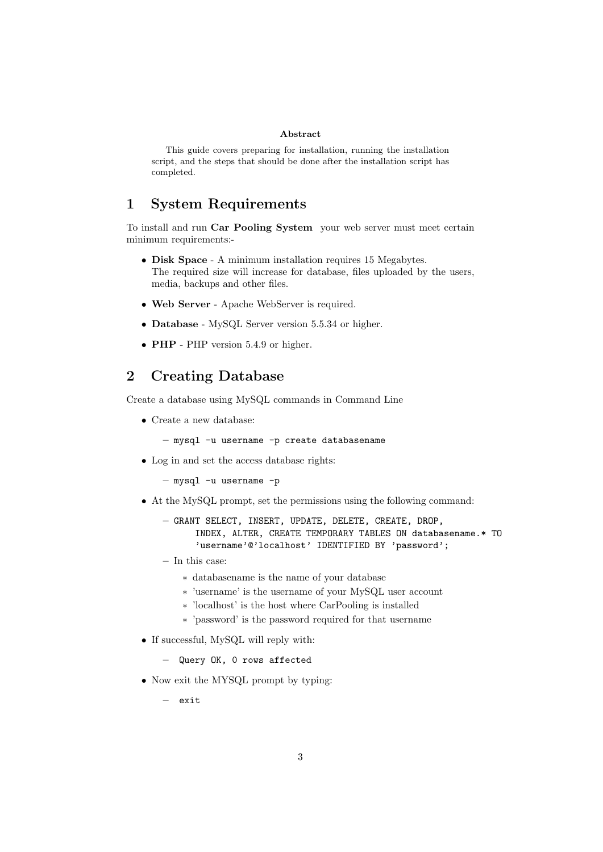#### Abstract

This guide covers preparing for installation, running the installation script, and the steps that should be done after the installation script has completed.

#### 1 System Requirements

To install and run Car Pooling System your web server must meet certain minimum requirements:-

- Disk Space A minimum installation requires 15 Megabytes. The required size will increase for database, files uploaded by the users, media, backups and other files.
- Web Server Apache WebServer is required.
- Database MySQL Server version 5.5.34 or higher.
- PHP PHP version 5.4.9 or higher.

### 2 Creating Database

Create a database using MySQL commands in Command Line

• Create a new database:

– mysql -u username -p create databasename

• Log in and set the access database rights:

– mysql -u username -p

- At the MySQL prompt, set the permissions using the following command:
	- GRANT SELECT, INSERT, UPDATE, DELETE, CREATE, DROP, INDEX, ALTER, CREATE TEMPORARY TABLES ON databasename.\* TO 'username'@'localhost' IDENTIFIED BY 'password';
	- In this case:
		- ∗ databasename is the name of your database
		- ∗ 'username' is the username of your MySQL user account
		- ∗ 'localhost' is the host where CarPooling is installed
		- ∗ 'password' is the password required for that username
- If successful, MySQL will reply with:
	- Query OK, 0 rows affected
- Now exit the MYSQL prompt by typing:
	- exit